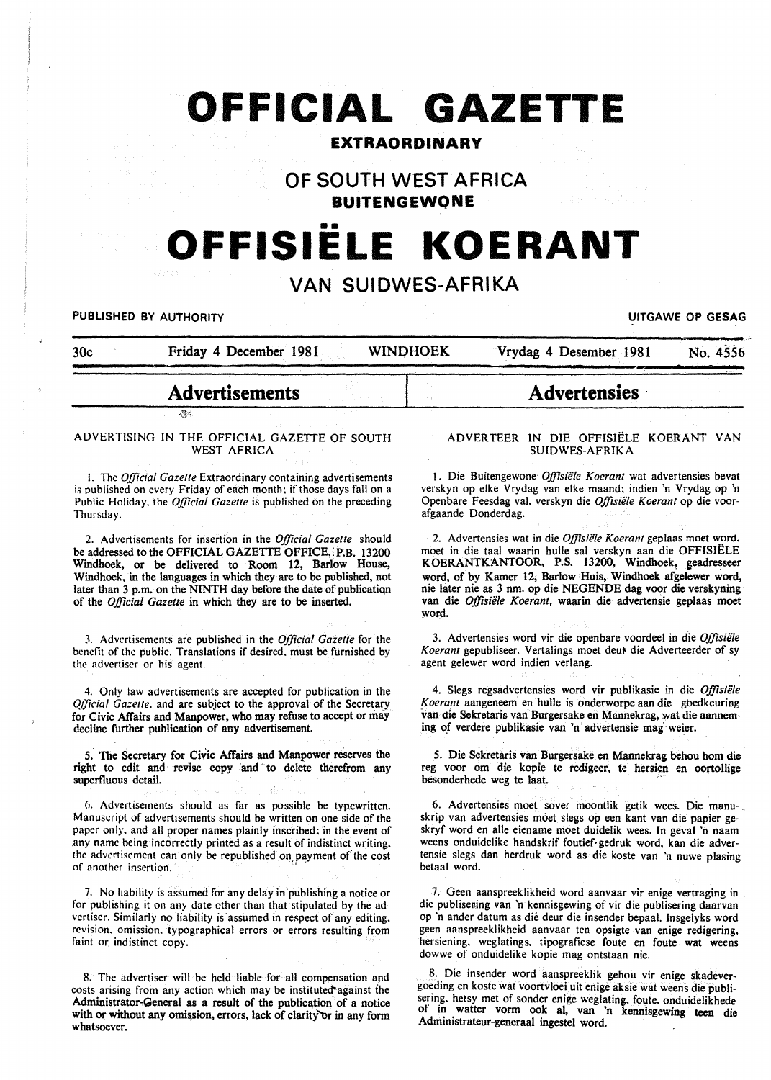# **OFFICIAL GAZETTE**

### **EXTRAORDINARY**

**OF SOUTH WEST AFRICA BUITENGEWONE** 

## •• **OFFISIELE KOERANT**

### **VAN SUIDWES-AFRIKA**

PUBLISHED BY AUTHORITY **EXAGGED AT A SEXUAL CONSUMING THE CONSUMING OF GESAG** 

| 30c | Friday 4 December 1981 | <b>WINDHOEK</b> | Vrydag 4 Desember 1981 | No. 4556 |
|-----|------------------------|-----------------|------------------------|----------|
|     |                        |                 |                        |          |
|     | <b>Advertisements</b>  |                 | <b>Advertensies</b>    |          |

ADVERTISING IN THE OFFICIAL GAZETTE OF SOUTH WEST AFRICA

 $24$ 

I. The *Official Gazette* Extraordinary containing advertisements is published on every Friday of each month; if those days fall on a Public Holiday. the *Official Gazette* is published on the preceding Thursday.

2. Advertisements for insertion in the *Official Gazette* should be addressed to the OFFICIAL GAZETTE OFFICE, P.B. 13200 Windhoek, or be delivered to Room 12, Barlow House, Windhoek, in the languages in which they are to be published, not later than 3 p.m. on the NINTH day before the date of publicatiqn of the *Official Gazette* in which they are to be inserted.

3. Advertisements are published in the *Official Gazette* for the benefit of the public. Translations if desired. must be furnished by the advertiser or his agent.

4. Only law advertisements are accepted for publication in the *Official Gazette*, and are subject to the approval of the Secretary for Civic Affairs and Manpower, who may refuse to accept or may decline further publication of any advertisement.

5. The Secretary for Civic Affairs and Manpower reserves the right to edit and revise copy and to delete therefrom any superfluous detail.

6. Advertisements should as far as possible be typewritten. Manuscript of advertisements should be written on one side of the paper only. and all proper names plainly inscribed; in the event of any name being incorrectly printed as a result of indistinct writing. the advertisement can only be republished on payment of the cost of another insertion.

7. No liability is assumed for any delay in publishing a notice or for publishing it on any date other than that stipulated by the advertiser. Similarly no liability is assumed in respect of any editing. revision. omission. typographical errors or errors resulting from faint or indistinct copy.

8. The advertiser will be held liable for all compensation apd costs arising from any action which may be instituted'against the Administrator-General as a result of the publication of a notice with or without any omission, errors, lack of clarity or in any form whatsoever.

#### ADVERTEER IN DIE OFFISIELE KOERANT VAN SUIDWES-AFRIKA

1. Die Buitengewone *0./fisiille Koerant* wat advertensies bevat verskyn op elke Vrydag van elke maand; indien 'n Vrydag op 'n Openbare Feesdag val. verskyn die *Offisiële Koerant* op die voorafgaande Donderdag.

2. Advertensies wat in die Offisiële Koerant geplaas moet word. moet in die taal waarin hulle sal verskyn aan die OFFISIELE KOERANTKANTOOR, P.S. 13200, Windhoek, geadresseer word, of by Kamer 12, Barlow Huis, Windhoek afgelewer word, nie later nie as 3 nm. op die NEGENDE dag voor die verskyning van die *Offisiële Koerant*, waarin die advertensie geplaas moet word.

3. Advertensies word vir die openbare voordeel in die *Offisiële* Koerant gepubliseer. Vertalings moet deur die Adverteerder of sy agent gelewer word indien verlang.

4. Slegs regsadvertensies word vir publikasie in die *0./fisiele K oeram* aangeneem en bulle is onderworpe aan die goedkeuring van die Sekretaris van Burgersake en Mannekrag, wat die aanneming of verdere publikasie van 'n advertensie mag weier.

*5.* Die Sekretaris van Burgersake en Mannekrag behou hom die reg voor om die kopie te redigeer, te hersien en oortollige besonderhede weg te laat.

6. Advertensies moet sover moontlik getik wees. Die manuskrip van advertensies moet slegs op een kant van die papier geskryf word en aile eiename moet duidelik wees. In geval 'n naam weens onduidelike handskrif foutief·gedruk word, kan die advertensie slegs dan herdruk word as die koste van 'n nuwe plasing betaal word.

7. Geen aanspreeklikheid word aanvaar vir enige vertraging in . die publisening van 'n kennisgewing of vir die publisering daarvan op 'n ander datum as die deur die insender bepaal. Insgelyks word geen aanspreeklikheid aanvaar ten opsigte van enige redigering. hersiening. weglatings. tipografiese foute en foute wat weens dowwe of onduidelike kopie mag ontstaan nie.

8. Die insender word aanspreeklik gehou vir enige skadevergoeding en koste wat voortvloei uit enige aksie wat weens die publisering. hetsy met of sonder enige weglating. foute. onduidelikhede or in watter vorm ook al, van 'n kennisgewing teen die Administrateur-generaal ingestel word.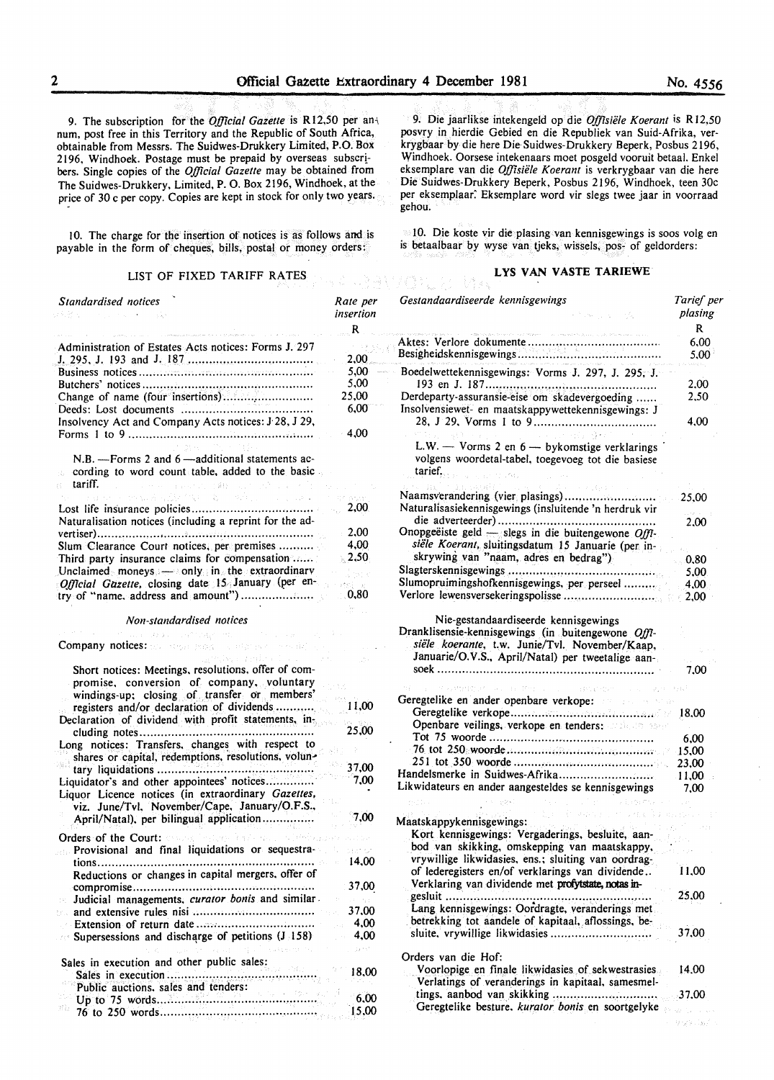9. The subscription for the *Official Gazette* is R12,50 per an-1 num, post free in this Territory and the Republic of South Africa, obtainable from Messrs. The Suidwes-Drukkery Limited, P.O. Box 2196, Windhoek. Postage must be prepaid by overseas subscribers. Single copies of the *Official Gazette* may be obtained from The Suidwes-Drukkery, Limited, P. 0. Box 2196, Windhoek, at the price of 30 c per copy. Copies are kept in stock for only two years.

10. The charge for the insertion of notices is as follows and is payable in the form of cheques, bills, postal or money orders:

### LIST OF FIXED TARIFF RATES **LYS VAN VASTE TARIEWE**

| Standardised notices<br>みんどん ハードル・マート 一段                                                                                                                                        | Rate per<br>insertion<br>R |
|---------------------------------------------------------------------------------------------------------------------------------------------------------------------------------|----------------------------|
| Administration of Estates Acts notices: Forms J. 297                                                                                                                            |                            |
|                                                                                                                                                                                 | 2.00                       |
|                                                                                                                                                                                 | 5.00                       |
|                                                                                                                                                                                 | 5.00                       |
|                                                                                                                                                                                 | 25,00                      |
| Insolvency Act and Company Acts notices: J.28, J.29,                                                                                                                            | 6.00                       |
|                                                                                                                                                                                 | 4,00                       |
| $N.B.$ - Forms 2 and 6 - additional statements ac-<br>cording to word count table, added to the basic<br>tariff.<br>The common properties of MES (2018) 1972 (2018)             |                            |
| the company of the subject of the control of the company of the company of the company of the company of the company<br>Naturalisation notices (including a reprint for the ad- | 2,00                       |
|                                                                                                                                                                                 | 2.00                       |
| Slum Clearance Court notices, per premises                                                                                                                                      | 4,00                       |
| Third party insurance claims for compensation                                                                                                                                   | $\approx$ 2.50             |
| Unclaimed moneys $\longrightarrow$ only in the extraordinary<br>Official Gazette, closing date 15 January (per en-                                                              | al meny<br>修饰、元            |
| try of "name, address and amount")                                                                                                                                              | 0,80                       |
|                                                                                                                                                                                 |                            |

*Non-standardised notices* 

#### Company notices:

| Short notices: Meetings, resolutions, offer of com- |       |
|-----------------------------------------------------|-------|
| promise, conversion of company, voluntary           |       |
| windings-up: closing of transfer or members'        |       |
| registers and/or declaration of dividends           | 11.00 |
| Declaration of dividend with profit statements, in- |       |
| cluding notes                                       | 25,00 |
| Long notices: Transfers, changes with respect to    |       |
|                                                     |       |
| shares or capital, redemptions, resolutions, volun- | 37.00 |
| tary liquidations                                   |       |
| Liquidator's and other appointees' notices          | 7,00  |
| Liquor Licence notices (in extraordinary Gazettes,  |       |
| viz. June/Tvl. November/Cape. January/O.F.S.,       |       |
| April/Natal), per bilingual application             | 7,00  |
| Orders of the Court: and a state has                |       |
| Provisional and final liquidations or sequestra-    |       |
|                                                     | 14.00 |
| tions<br>.                                          |       |
| Reductions or changes in capital mergers, offer of  |       |
|                                                     | 37,00 |
| Judicial managements, curator bonis and similar.    |       |
|                                                     | 37,00 |
|                                                     | 4,00  |
| Supersessions and discharge of petitions (J 158)    | 4,00  |
|                                                     |       |
| Sales in execution and other public sales:          |       |
|                                                     | 18.00 |
| Public auctions, sales and tenders:                 |       |
| Up to $75$ words                                    | 6.00  |
|                                                     | 15,00 |
|                                                     |       |

9. Die jaarlikse intekengeld op die *Offisiele Koerant* is R 12.50 posvry in hierdie Gebied en die Republiek van Suid-Afrika, verkrygbaar by die here Die·Suidwes-Drukkery Beperk, Posbus 2196, Windhoek. Oorsese intekenaars moet posgeld vooruit betaal. Enkel eksemplare van die *Offisiele Koerant* is verkrygbaar van die here Die Suidwes-Drukkery Beperk, Posbus 2196, Windhoek, teen 30c per eksemplaar: Eksemplare word vir slegs twee jaar in voorraad gehou.

10. Die koste vir die plasing van kennisgewings is soos volg en is betaalbaar by wyse van tjeks, wissels, pos- of geldorders:

| Gestandaardiseerde kennisgewings                                                                                                             | Tarief per<br>plasing  |
|----------------------------------------------------------------------------------------------------------------------------------------------|------------------------|
| .<br>Rawland – Linda versioner sovjeti i vijek, drav se odelil vi                                                                            | R                      |
|                                                                                                                                              | 6,00<br>$5,00^{\circ}$ |
| Boedelwettekennisgewings: Vorms J. 297, J. 295, J.                                                                                           | 2,00                   |
| Derdeparty-assuransie-eise om skadevergoeding<br>Insolvensiewet- en maatskappywettekennisgewings: J                                          | 2,50                   |
| Australy Are                                                                                                                                 | 4,00                   |
| L.W. - Vorms 2 en $6$ - by komstige verklarings<br>volgens woordetal-tabel, toegevoeg tot die basiese<br>tarief.<br>a consideration          |                        |
| Naamsverandering (vier plasings)<br>Naturalisasiekennisgewings (insluitende 'n herdruk vir                                                   | 25,00                  |
| Onopgeëiste geld - slegs in die buitengewone Offi-                                                                                           | 2.00                   |
| siële Koerant, sluitingsdatum 15 Januarie (per in-<br>skrywing van "naam, adres en bedrag")                                                  |                        |
|                                                                                                                                              | 0.80                   |
|                                                                                                                                              | 5,00                   |
| Slumopruimingshofkennisgewings, per perseel                                                                                                  | 4.00                   |
| Nie-gestandaardiseerde kennisgewings<br>Dranklisensie-kennisgewings (in buitengewone Offi-<br>siële koerante, t.w. Junie/Tvl. November/Kaap, | $\epsilon$ 2,00        |
| Januarie/O.V.S., April/Natal) per tweetalige aan-                                                                                            | 7.00                   |
| a consultation will be the collect and prove-<br>$\sim 10^{11}$ km                                                                           |                        |
| Geregtelike en ander openbare verkope: ander ander openbare verkope:                                                                         |                        |
| Openbare veilings, verkope en tenders: and an asset                                                                                          |                        |
|                                                                                                                                              | 6,00                   |
|                                                                                                                                              | 15,00                  |
|                                                                                                                                              | 23,00                  |
| Handelsmerke in Suidwes-Afrika                                                                                                               | $-11,00$               |
| Likwidateurs en ander aangesteldes se kennisgewings                                                                                          | 7.00                   |
| 2010.                                                                                                                                        |                        |
| Maatskappykennisgewings:<br>Kort kennisgewings: Vergaderings, besluite, aan-                                                                 |                        |
| bod van skikking, omskepping van maatskappy,<br>vrywillige likwidasies, ens.; sluiting van oordrag-                                          |                        |
| of lederegisters en/of verklarings van dividende<br>Verklaring van dividende met profytstate, notas in-                                      | 11,00                  |
| gesluit<br>Lang kennisgewings: Oordragte, veranderings met<br>betrekking tot aandele of kapitaal, aflossings, be-                            | 25,00                  |
| sluite, vrywillige likwidasies                                                                                                               | 37,00                  |
| Orders van die Hof:<br>Voorlopige en finale likwidasies of sekwestrasies.                                                                    | 14.00                  |
| Verlatings of veranderings in kapitaal, samesmel-                                                                                            |                        |
| tings, aanbod van skikking<br>Geregtelike besture, kurator bonis en soortgelyke                                                              | .37.00                 |

 $-9.58\pm3.7$  s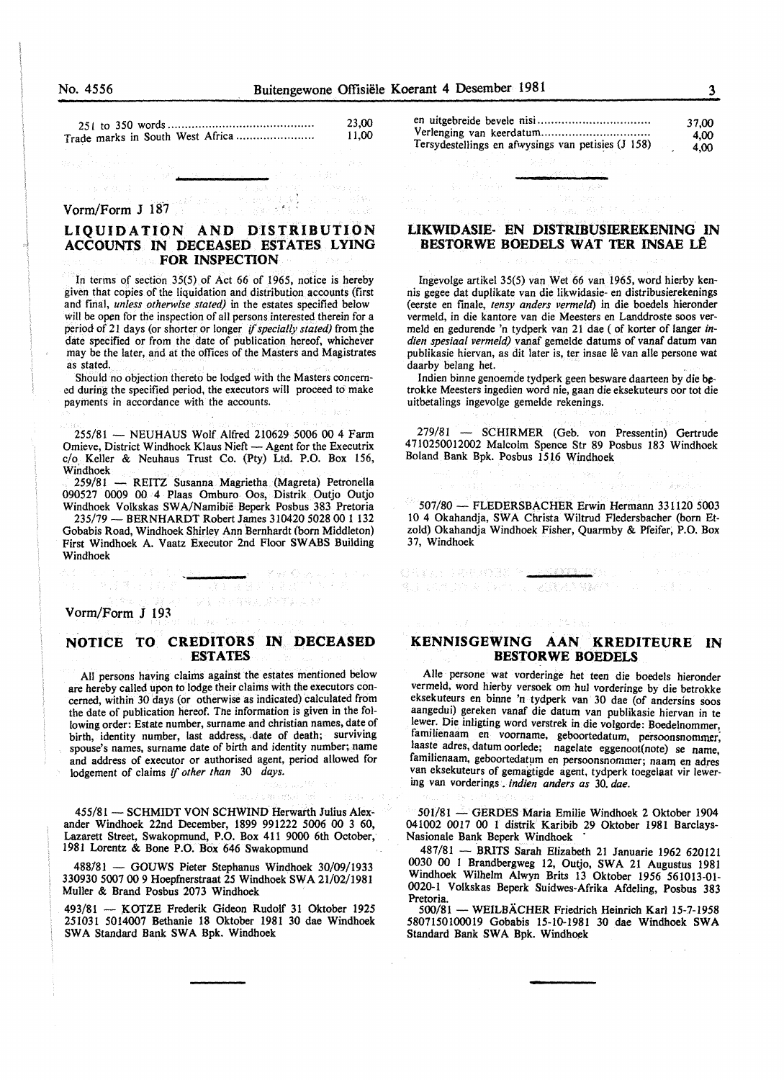| 23.00 |
|-------|
| 11,00 |

#### Vorm/Form J 187

#### LIQUIDATION AND DISTRIBUTION ACCOUNTS IN DECEASED ESTATES LYING FOR INSPECTION

In terms of section 35(5) of Act 66 of 1965, notice is hereby given that copies of the liquidation and distribution accounts (first and final, *unless otherwise stated)* in the estates specified below will be open for the inspection of all persons interested therein for a period of 21 days (or shorter or longer if specially stated) from the date specified or from the date of publication hereof. whichever may he the later, and at the offices of the Masters and Magistrates as stated.

Should no objection thereto be lodged with the Masters concerned during the specified period, the executors will proceed to make payments in accordance with the accounts.

255/81 - NEUHAUS Wolf Alfred 210629 5006 00 4 Farm Omieve, District Windhoek Klaus Nieft - Agent for the Executrix c/o, Keller & Neuhaus Trust Co. (Pty) Ltd. P.O. Box 156, Windhoek

259/81 - REITZ Susanna Magrietha (Magreta) Petronella 090527 0009 00 4 Plaas Omburo Oos, Distrik Outjo Outjo Windhoek Volkskas SWA/Namibie Beperk Posbus 383 Pretoria

235/79- BERNHARDT Robert James 310420 5028 00 1 132 Gobabis Road, Windhoek Shirley Ann Bernhardt (horn Middleton) First Windhoek A. Vaatz Executor 2nd Floor SWABS Building Windhoek

Wasan a zen

日本音程的影响学习

Vorm/Form J 193

外国 隊長の 手の

#### NOTICE TO CREDITORS IN DECEASED ESTATES

All persons having claims against the estates mentioned below are hereby called upon to lodge their claims with the executors concerned, within 30 days (or otherwise as indicated) calculated from the date of publication hereof. Tne information is given in the following order: Estate number, surname and christian names, date of birth, identity number, last address, date of death; surviving spouse's names, surname date of birth and identity number; name and address of executor or authorised agent, period allowed for lodgement of claims if *other than* 30 *days.* 

455/81 - SCHMIDT VON SCHWIND Herwarth Julius Alexander Windhoek 22nd December, 1899 991222 5006 00 3 60, Lazarett Street, Swakopmund, P.O. Box 411 9000 6th October, 1981 Lorentz & Bone P.O. Box 646 Swakopmund

488/81 - GOUWS Pieter Stephanus Windhoek 30/09/1933 330930 5007 00 9 Hoepfnerstraat 25 Windhoek SWA 21/02/1981 Muller & Brand Posbus 2073 Windhoek

493/81 - KOTZE Frederik Gideon Rudolf 31 Oktober 1925 251031 5014007 Bethanie 18 Oktober 1981 30 dae Windhoek SWA Standard Bank SWA Bpk. Windhoek

|                                                    | 37.00 |
|----------------------------------------------------|-------|
|                                                    | 4.00  |
| Tersydestellings en afwysings van petisies (J 158) | 4.00  |

#### LIKWIDASIE- EN DISTRIBUSIEREKENING IN BESTORWE BOEDELS WAT TER INSAE LÊ

Ingevolge artikel 35(5) van Wet 66 van 1965, word hierby kennis gegee dat duplikate van die likwidasie- en distribusierekenings (eerste en finale, *tensy anders vermeld)* in die boedels hieronder vermeld, in die kantore van die Meesters en Landdroste soos vermeld en gedurende 'n tydperk van 21 dae (of korter of Ianger *indien spesiaal vermeld)* vanaf gemelde datums of vanaf datum van publikasie hiervan, as dit later is, ter insae lê van alle persone wat daarby belang het.

Indien binne genoemde tydperk geen besware daarteen by die betrokke Meesters ingedien word nie, gaan die eksekuteurs oor tot die uitbetalings ingevolge gemelde rekenings.

279/81 - SCHIRMER (Geb. von Pressentin) Gertrude 4710250012002 Malcolm Spence Str 89 Posbus 183 Windhoek Boland Bank Bpk. Posbus 1516 Windhoek

507/80- FLEDERSBACHER Erwin Hermann 331120 5003 10 4 Okahandja, SWA Christa Wiltrud Fledersbacher (born Etzold) Okahandja Windhoek Fisher, Quarmby & Pfeifer; P.O. Box 37, Windhoek

個々に

如果的人,可以就会感受到什么

を見ることにも、これには、これには、このことには、このことに<mark>。</mark>

KENNISGEWING AAN KREDITEURE IN BESTORWE BOEDELS

Aile persone wat vorderinge het teen die boedels hieronder vermeld, word hierby versoek om hul vorderinge by die betrokke eksekuteurs en binne 'n tydperk van 30 dae (of andersins soos aangedui) gereken vanaf die datum van publikasie hiervan in te lewer. Die inligting word verstrek in die volgorde: Boedelnommer, familienaam en voorname, geboortedatum, persoonsnommer; laaste adres, datum oorlede; nagelate eggenoot(note) se name, familienaam, geboortedatum en persoonsnommer; naam en adres van eksekuteurs of gemagtigde agent, tydperk toegelaat vir lewering van vorderings. *indien anders as* 30. *dae.* 

501/81 -GERDES Maria Emilie Windhoek 2 Oktober 1904 041002 0017 00 l distrik Karibih 29 Oktober 1981 Barclays-Nasionale Bank Beperk Windhoek ·

487/81 - BRITS Sarah Elizabeth 21 Januarie 1962 620121 0030 00 I Brandbergweg 12, Outjo, SWA 21 Augustus 1981 Windhoek Wilhelm Alwyn Brits 13 Oktober 1956 561013-01- 0020-1 Volkskas Beperk Suidwes-Afrika Afdeling, Posbus 383

500/81 - WEILBÄCHER Friedrich Heinrich Karl 15-7-1958 5807150100019 Gobabis 15-10-1981 30 dae Windhoek SWA Standard Bank SWA Bpk. Windhoek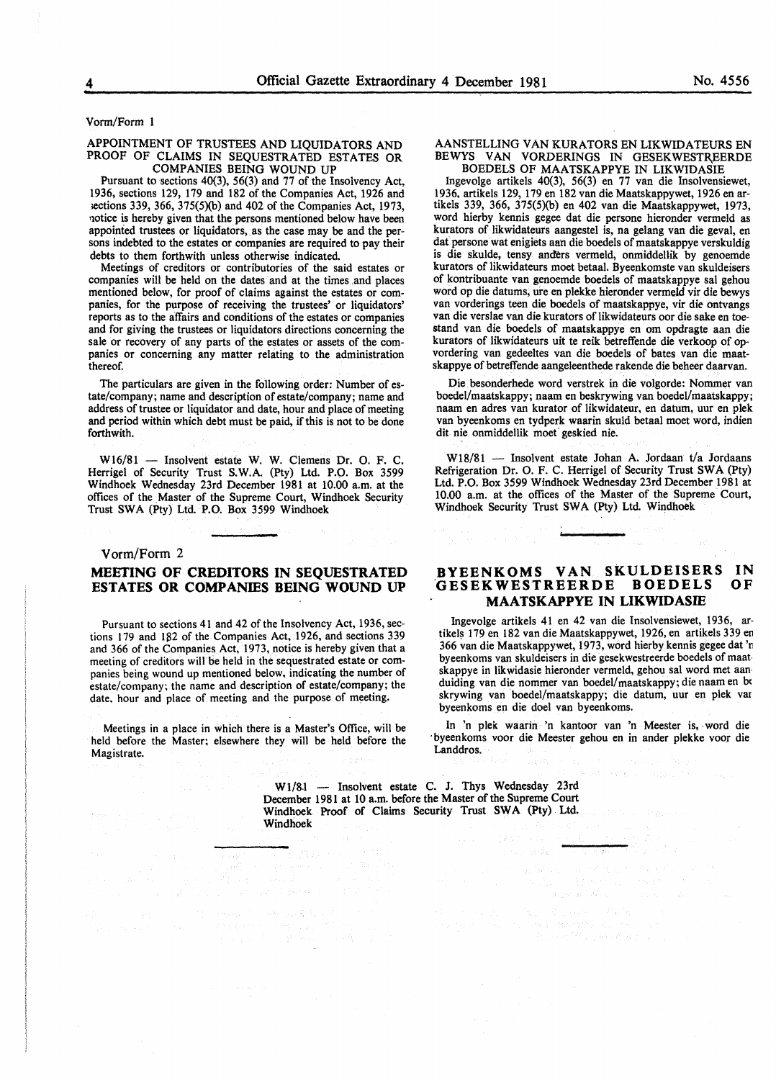Vorm/Form 1

#### APPOINTMENT OF TRUSTEES AND LIQUIDATORS AND PROOF OF CLAIMS IN SEQUESTRATED ESTATES OR COMPANIES BEING WOUND UP

Pursuant to sections 40(3), 56(3) and 77 of the Insolvency Act, 1936, sections 129, 179 and 182 of the Companies Act, 1926 and ;ections 339, 366, 375(5)(b) and 402 of the Companies Act, 1973, notice is hereby given that the persons mentioned below have been appointed trustees or liquidators, as the case may be and the persons indebted to the estates or companies are required to pay their debts to them forthwith unless otherwise indicated.

Meetings of creditors or contributories of the said estates or companies will be held on the dates and at the times .and places mentioned below, for proof of claims against the estates or companies, for the purpose of receiving the trustees' or liquidators' reports as to the affairs and conditions of the estates or companies and for giving the trustees or liquidators directions concerning the sale or recovery of any parts of the estates or assets of the companies or concerning any matter relating to the administration thereof.

The particulars are given in the following order: Number of estate/company; name and description of estate/company; name and address of trustee or liquidator and date, hour and place of meeting and period within which debt must be paid, if this is not to be done forthwith.

W16/81 - Insolvent estate W. W. Clemens Dr. O. F. C. Herrigel of Security Trust S.W.A. (Pty) Ltd. P.O. Box 3599 Windhoek Wednesday 23rd December 1981 at 10.00 a.m. at the offices of the Master of the Supreme Court, Windhoek Security Trust SWA (Pty) Ltd. P.O. Box 3599 Windhoek

### Vorm/Form 2 **MEETING OF CREDITORS IN SEQUESTRATED ESTATES OR COMPANIES BEING WOUND UP**

Pursuant to sections 41 and 42 of the Insolvency Act, 1936, sections 179 and 182 of the Companies Act, 1926, and sections 339 and 366 of the Companies Act, 1973, notice is hereby given that a meeting of creditors will be held in the sequestrated estate or companies being wound up mentioned below, indicating the number of estate/company; the name and description of estate/company; the date, hour and place of meeting and the purpose of meeting.

Meetings in a place in which there is a Master's Office, will be held before the Master; elsewhere they will be held before the Magistrate.

 $\tau_1/\tau_2$ 

#### AANSTELLING VAN KURATORS EN LIKWIDATEURS EN BEWYS VAN VORDERINGS IN GESEKWESTREERDE BOEDELS OF MAATSKAPPYE IN LIKWIDASIE

Ingevolge artikels 40(3), 56(3) en 77 van die Insolvensiewet, 1936. artikels 129, 179 en 182 van die Maatskappywet, 1926 en artikels 339, 366, 375(5)(b) en 402 van die Maatskappywet, 1973, word hierby kennis gegee dat die persone hieronder vermeld as kurators of likwidateurs aangestel is, na gelang van die geval, en dat persone wat enigiets aan die boedels of maatskappye verskuldig is die skulde, tensy and'ers vermeld, onmiddellik by genoemde kurators of likwidateurs moet betaal. Byeenkomste van skuldeisers of kontribuante van genoemde boedels of maatskappye sal gehou word op die datums, ure en plekke hieronder vermeld vir die bewys van vorderings teen die boedels of maatskappye, vir die ontvangs van die verslae van die kurators of likwidateurs oor die sake en toestand van die boedels of maatskappye en om opdragte aan die kurators of likwidateurs uit te reik betreffende die verkoop of opvordering van gedeeltes van die boedels of bates van die maatskappye of betreffende aangeleenthede rakende die beheer daarvan.

Die besonderhede word verstrek in die volgorde: Nommer van boedel/maatskappy; naam en beskrywing van boedel/maatskappy; naam en adres van kurator of likwidateur, en datum, uur en plek van byeenkoms en tydperk waarin skuld betaal moet word, indien dit nie onmiddellik moet geskied nie.

W18/81 - Insolvent estate Johan A. Jordaan t/a Jordaans Refrigeration Dr. 0. F. C. Herrigel of Security Trust SWA (Pty) Ltd. P.O. Box 3599 Windhoek Wednesday 23rd December 1981 at 10.00 a.m. at the offices of the Master of the Supreme Court, Windhoek Security Trust SWA (Pty) Ltd. Windhoek

#### **BYEENKOMS VAN SKULDEISERS IN .GESEKWESTREERDE BOEDELS MAATSKAPPYE IN LIKWIDASIE OF**

lngevolge artikels 41 en 42 van die Insolvensiewet, 1936, artikels 179 en 182 van die Maatskappywet, 1926, en artikels 339 en 366 van die Maatskappywet, 1973, word hierby kennis gegee dat 'n byeenkoms van skuldeisers in die gesekwestreerde boedels of maatskappye in likwidasie hieronder vermeld, gehou sal word met aan· duiding van die nommer van boedel/maatskappy; die naam en be skrywing van boedel/maatskappy; die datum, uur en plek var byeenkoms en die doe! van byeenkoms.

In 'n plek waarin 'n kantoor van 'n Meester is, word die byeenkoms voor die Meester gehou en in ander plekke voor die Landdros.

 $\mathbf{b}_{\mathbf{a},\mathbf{b}} = \mathbf{b}_{\mathbf{a},\mathbf{b}} + \mathbf{b}_{\mathbf{a},\mathbf{b}} + \mathbf{b}_{\mathbf{a},\mathbf{b}} + \mathbf{b}_{\mathbf{a},\mathbf{b}}$ 

 $\label{eq:3} \begin{split} \mathcal{L}^2\left(\mathcal{L}_{\text{eff}}\right) & = \mathcal{L}_{\text{eff}}\left[\mathcal{L}_{\text{eff}}\left(\mathcal{L}_{\text{eff}}\right)\mathcal{L}_{\text{eff}}\right]\mathcal{L}_{\text{eff}}\left(\mathcal{L}_{\text{eff}}\right)\mathcal{L}_{\text{eff}}\left(\mathcal{L}_{\text{eff}}\right)\mathcal{L}_{\text{eff}}\left(\mathcal{L}_{\text{eff}}\right)\mathcal{L}_{\text{eff}}\left(\mathcal{L}_{\text{eff}}\right)\mathcal{L}_{\text{eff}}\left(\mathcal{L}_{\text{eff}}\right$ 

W1/81 - Insolvent estate C. J. Thys Wednesday 23rd December 1981 at 10 a.m. before the Master of the Supreme Court Windhoek Proof of Claims Security Trust SWA (Pty) Ltd. Windhoek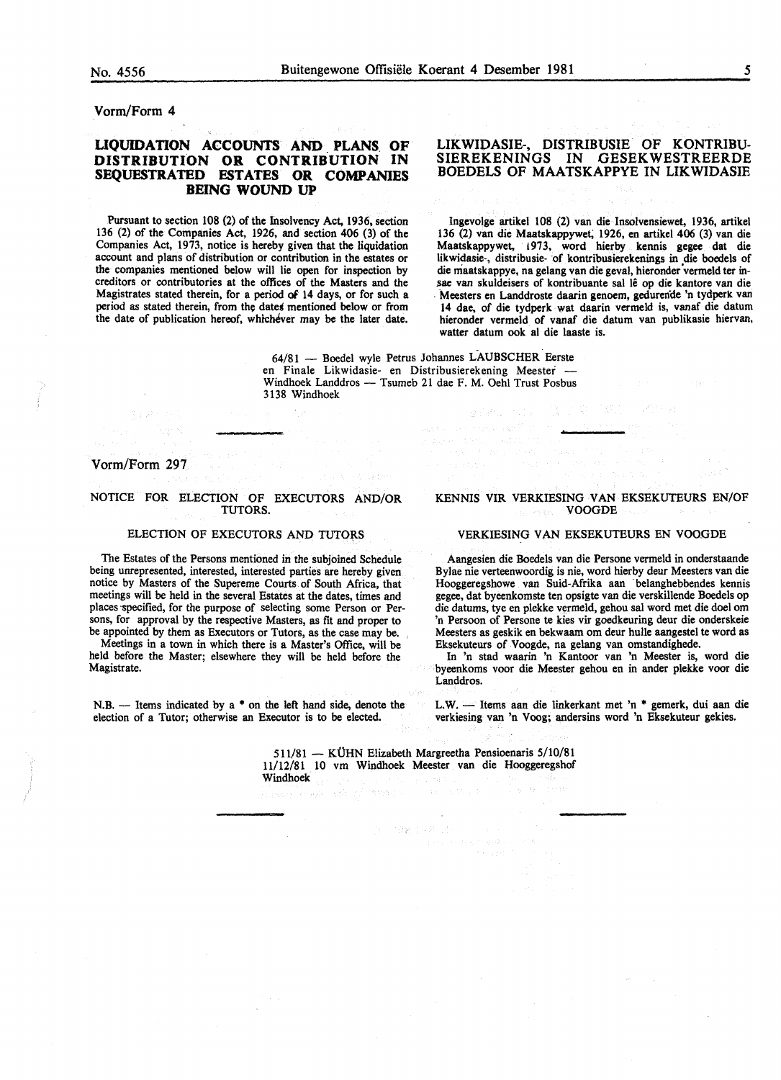Vorm/Form 4

#### UQUIDATION ACCOUNTS AND\_ PLANS. OF DISTRIBUTION OR CONTRIBUTION IN SEQUESTRATED ESTATES OR COMPANIES BEING WOUND UP

Pursuant to section 108 (2) of the Insolvency Act, 1936, section 136 (2) of the Companies Act, 1926, and section 406 (3) of the Companies Act, 1973, notice is hereby given that the liquidation account and plans of distribution or contribution in the estates or the companies mentioned below will lie open for inspection by creditors or contributories at the offices of the Masters and the Magistrates stated therein, for a period of 14 days, or for such a period as stated therein, from the dates mentioned below or from the date of publication hereof, whichever may be the later date.

#### LIKWIDASIE-, DISTRIBUSIE OF KONTRIBU-SIEREKENINGS IN GESEKWESTREERDE BOEDELS OF MAATSKAPPYE IN LIKWIDASIE

Ingevolge artikel 108 (2) van die Insolvensiewet, 1936, artikel 136 (2) van die Maatskappywet; 1926, en artikel 406 (3) van die Maatskappywet, !973, word hierby kennis gegee dat die likwidasie-, distribusie- of kontribusierekenings in die boedels of die maatskappye, na gelang van die geval, hieronder vermeld ter insae van skuldeisers of kontribuante sal lê op die kantore van die . Meesters en Landdroste daarin genoem, gedurende 'n tydperk. van 14 dae, of die tydperk wat daarin vermeld is, vanaf die datum hieronder vermeld of vanaf die datum van publikasie hiervan, watter datum ook al die laaste is.

64/81 - Boedel wyle Petrus Johannes LAUBSCHER Eerste en Finale Likwidasie- en Distribusierekening Meester - Windhoek Landdros - Tsumeb 21 dae F. M. Oehl Trust Posbus 3138 Windhoek

التعالى أبداويا

Vorm/Form 297

#### NOTICE FOR ELECTION OF EXECUTORS AND/OR TUTORS.

#### ELECTION OF EXECUTORS AND TUTORS

The Estates of the Persons mentioned in the subjoined Schedule being unrepresented, interested, interested parties are hereby given notice by Masters of the Supereme Courts of South Africa, that meetings will be held in the several Estates at the dates, times and places -specified, for the purpose of selecting some Person or Persons, for approval by the respective Masters, as fit and proper to be appointed by them as Executors or Tutors, as the case may be.

Meetings in a town in which there is a Master's Office, will be held before the Master; elsewhere they will be held before the Magistrate.

N.B. - Items indicated by a \* on the left hand side, denote the election of a Tutor; otherwise an Executor is to be elected.

#### KENNIS VIR VERKIESING VAN EKSEKUTEURS EN/OF VOOGDE

#### VERKIESING VAN EKSEKUTEURS EN VOOGDE

Aangesien die Boedels van die Persone vermeld in onderstaande Bylae nie verteenwoordig is nie, word hierby deur Meesters van die Hooggeregshowe van Suid-Afrika aan ·belanghebbendes kennis gegee, dat byeenkomste ten opsigte van die verskillende Boedels op die datums, tye en plekke vermeld, gehou sal word met die doe! om 'n Persoon of Persone te kies vir goedkeuring deur die onderskeie Meesters as geskik en bekwaam om deur bulle aangestel te word as Eksekuteurs of Voogde, na gelang van omstandighede.

In 'n stad waarin 'n Kantoor van 'n Meester is, word die byeenkoms voor die Meester gehou en in ander plekke voor die Landdros.

L.W. - Items aan die linkerkant met 'n \* gemerk, dui aan die verkiesing van 'n Voog; andersins word 'n Eksekuteur gekies.

511/81 - KÜHN Elizabeth Margreetha Pensioenaris 5/10/81 11/12/81 10 vm Windhoek Meester van die Hooggeregshof Windhoek

N Reined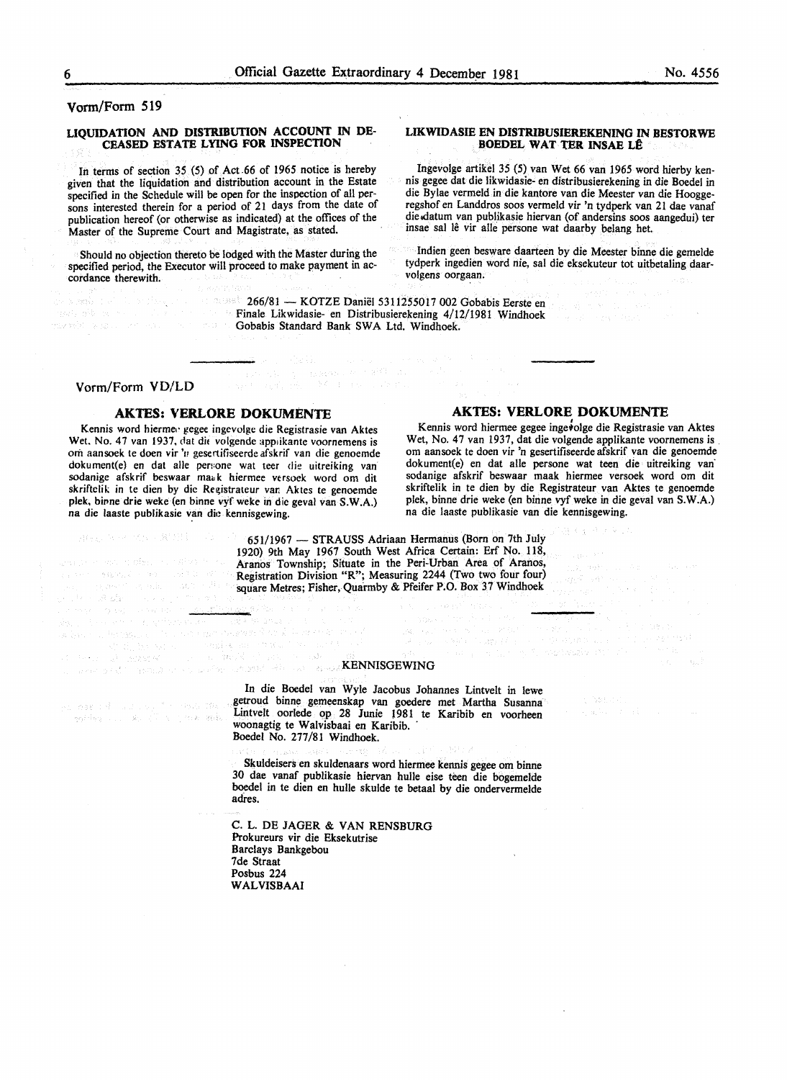#### Vorm/Form 519

#### LIQUIDATION AND DISTRIBUTION ACCOUNT IN DE-CEASED ESTATE LYING FOR INSPECTION

In terms of section *35* (5) of Act .66 of 1965 notice is hereby given that the liquidation and distribution account in the Estate specified in the Schedule will be open for the inspection of all persons interested therein for a period of 21 days from the date of publication hereof (or otherwise as indicated) at the offices of the Master of the Supreme Court and Magistrate, as stated.

Should no objection thereto be lodged with the Master during the specified period, the Executor will proceed to make payment in accordance therewith.

#### LIKWIDASIE EN DISTRIBUSIEREKENING IN BESTORWE BOEDEL WAT TER INSAE LÊ

Ingevolge artikel 35 (5) van Wet 66 van 1965 word hierby kennis gegee dat die likwidasie- en distribusierekening in die Boedel in die Bylae vermeld in die kantore van die Meester van die Hooggeregshof en Landdros soos vermeld vir 'n tydperk van 21 dae vanaf die datum van publikasie hiervan (of andersins soos aangedui) ter insae sal le vir alle persone wat daarby belang het.

· Indien geen besware daarteen by die Meester binne die gemelde tydperk ingedien word nie, sal die eksekuteur tot uitbetaling daarvolgens oorgaan.

266/81 - KOTZE Daniël 5311255017 002 Gobabis Eerste en Finale Likwidasie- en Distribusierekening 4/12/1981 Windhoek Gobabis Standard Bank SWA Ltd. Windhoek.

#### Vorm/Form VD/LD

**SPECIAL PLAN AND STATE** 

ski političnih skladar (\* <u>1814)</u><br>Geografija (\* 1. sp<sup>o</sup>ložena sa

an nas thìogh an caoigh an chan 110 an<br>Tagairtean na bhail Northum Bhail

 $\gamma$  ,  $\gamma$  (  $\gamma$  ),  $\gamma$  ,  $\gamma$  ,  $\gamma$  ,  $\gamma$ 

中国 麻醉县

Kennis word hierme•· gegee ingevolge die Registrasie van Aktes Wet. No. 47 van 1937, dat die volgende applikante voornemens is orn aansoek te doen vir 'n gesertifiseerde afskrif van die genoemde dokument(e) en dat aile pen:one wat teer die uitreiking van sodanige afskrif beswaar maak hiermee versoek word om dit skriftelik in te dien by die Registrateur var. Aktes te genoemde plek. birme drie weke (en binne vyf weke in die geval van S.W.A.) na die laaste publikasie van die kennisgewing.

<u>पञ्च</u>

Teorianus I .<br>Tall olan nyaéta sa pang ditanggit sa pangangan ang kal

#### AKTES: VERLORE DOKUMENTE AKTES: VERLORE DOKUMENTE

Kennis word hiermee gegee ingetolge die Registrasie van Aktes Wet, No. 47 van 1937, dat die volgende applikante voornemens is. om aansoek te doen vir 'n gesertifiseerde afskrif van die genoemde dokument(e) en dat aile persone wat teen die uitreiking van· sodanige afskrif beswaar maak hiermee versoek word om dit skriftelik in te dien by die Registrateur van Aktes te genoemde plek, binne drie weke (en binne vyf weke in die geval van S.W.A.) na die laaste publikasie van die kennisgewing.

Solar Advisory of Education

651/1967 - STRAUSS Adriaan Hermanus (Born on 7th July 1920) 9th May 1967 South West Mrica Certain: Erf No. 118, Aranos Township; Situate in the Peri-Urban Area of Aranos, Registration Division "R"; Measuring 2244 (Two two four four) square Metres; Fisher, Quarmby & Pfeifer P.O. Box 37 Windhoek

in a choirtean<br>1980 - An Angel Andrew Control<br>1980 - An Anna Saintean An Aire ann

a 1941 - Agosta Herriano, Salamarka (f. 1894)<br>1904 - Jacques Cheffeld, Fransız fizikalı (f. 1890)<br>1904 - Jacques Cheffeld, Fransız fizikalı (f. 1891)

eka <sub>1</sub> Kilo (n. 1. norwezia in

## KENNISGEWING

In die Boedel van Wyle Jacobus Johannes Lintvelt in !ewe getroud binne gemeenskap van goedere met Martha Susanna Lintvelt oorlede op 28 Junie 1981 te Karibib en voorheen woonagtig te Walvisbaai en Karibib. ·

Boedel No. 277/81 Windhoek.

Skuldeisers en skuldenaars word hiermee kennis gegee om binne 30 dae vanaf publikasie hiervan hulle eise teen die bogemelde boedel in te dien en hulle skulde te betaal by die ondervermelde adfes.

C. L. DE JAGER & VAN RENSBURG Prokureurs vir die Eksekutrise Barclays Bankgebou 7de Straat Posbus 224 WALVISBAAI